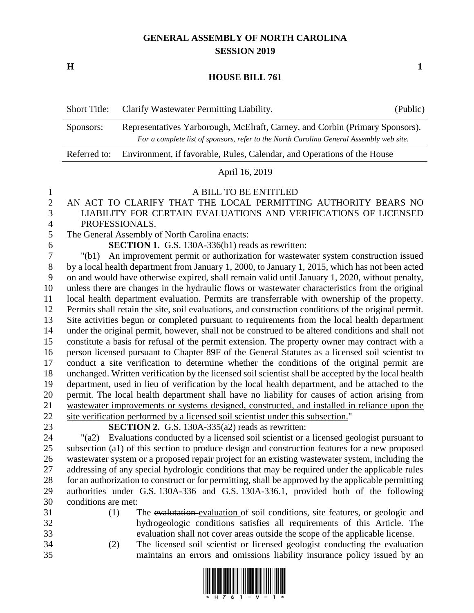## **GENERAL ASSEMBLY OF NORTH CAROLINA SESSION 2019**

**H 1**

### **HOUSE BILL 761**

| <b>Short Title:</b> | Clarify Wastewater Permitting Liability.                                                                                                                                | (Public) |
|---------------------|-------------------------------------------------------------------------------------------------------------------------------------------------------------------------|----------|
| Sponsors:           | Representatives Yarborough, McElraft, Carney, and Corbin (Primary Sponsors).<br>For a complete list of sponsors, refer to the North Carolina General Assembly web site. |          |
| Referred to:        | Environment, if favorable, Rules, Calendar, and Operations of the House                                                                                                 |          |
|                     |                                                                                                                                                                         |          |

### April 16, 2019

#### A BILL TO BE ENTITLED

- AN ACT TO CLARIFY THAT THE LOCAL PERMITTING AUTHORITY BEARS NO
- LIABILITY FOR CERTAIN EVALUATIONS AND VERIFICATIONS OF LICENSED PROFESSIONALS.
- The General Assembly of North Carolina enacts:

**SECTION 1.** G.S. 130A-336(b1) reads as rewritten:

 "(b1) An improvement permit or authorization for wastewater system construction issued by a local health department from January 1, 2000, to January 1, 2015, which has not been acted on and would have otherwise expired, shall remain valid until January 1, 2020, without penalty, unless there are changes in the hydraulic flows or wastewater characteristics from the original local health department evaluation. Permits are transferrable with ownership of the property. Permits shall retain the site, soil evaluations, and construction conditions of the original permit. Site activities begun or completed pursuant to requirements from the local health department under the original permit, however, shall not be construed to be altered conditions and shall not constitute a basis for refusal of the permit extension. The property owner may contract with a person licensed pursuant to Chapter 89F of the General Statutes as a licensed soil scientist to conduct a site verification to determine whether the conditions of the original permit are unchanged. Written verification by the licensed soil scientist shall be accepted by the local health department, used in lieu of verification by the local health department, and be attached to the permit. The local health department shall have no liability for causes of action arising from wastewater improvements or systems designed, constructed, and installed in reliance upon the site verification performed by a licensed soil scientist under this subsection."

**SECTION 2.** G.S. 130A-335(a2) reads as rewritten:

 "(a2) Evaluations conducted by a licensed soil scientist or a licensed geologist pursuant to subsection (a1) of this section to produce design and construction features for a new proposed wastewater system or a proposed repair project for an existing wastewater system, including the 27 addressing of any special hydrologic conditions that may be required under the applicable rules for an authorization to construct or for permitting, shall be approved by the applicable permitting authorities under G.S. 130A-336 and G.S. 130A-336.1, provided both of the following conditions are met:

 (1) The evalutation evaluation of soil conditions, site features, or geologic and hydrogeologic conditions satisfies all requirements of this Article. The evaluation shall not cover areas outside the scope of the applicable license.

 (2) The licensed soil scientist or licensed geologist conducting the evaluation maintains an errors and omissions liability insurance policy issued by an